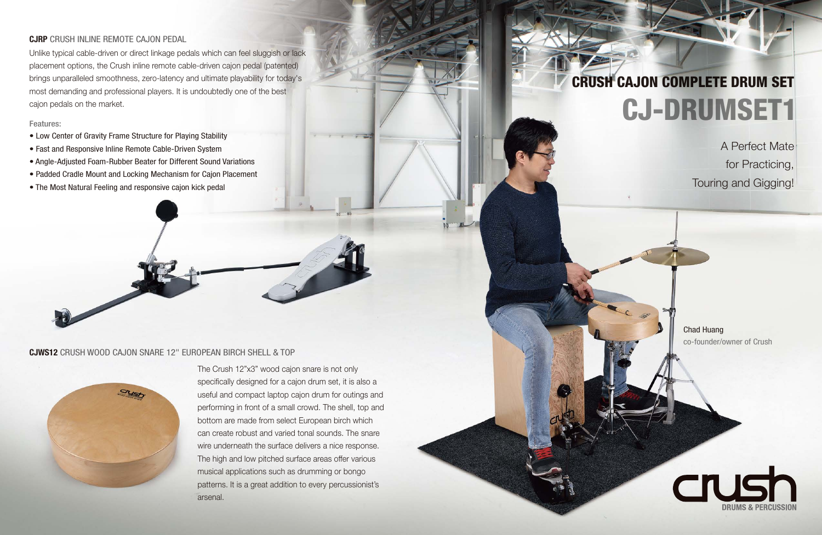#### **CJRP** CRUSH INLINE REMOTE CAJON PEDAL

Unlike typical cable-driven or direct linkage pedals which can feel sluggish or lack placement options, the Crush inline remote cable-driven cajon pedal (patented) brings unparalleled smoothness, zero-latency and ultimate playability for today's most demanding and professional players. It is undoubtedly one of the best cajon pedals on the market.

- Low Center of Gravity Frame Structure for Playing Stability
- Fast and Responsive Inline Remote Cable-Driven System
- Angle-Adjusted Foam-Rubber Beater for Different Sound Variations
- Padded Cradle Mount and Locking Mechanism for Cajon Placement
- The Most Natural Feeling and responsive cajon kick pedal

#### Features:

The Crush 12"x3" wood cajon snare is not only specifically designed for a cajon drum set, it is also a useful and compact laptop cajon drum for outings and performing in front of a small crowd. The shell, top and bottom are made from select European birch which can create robust and varied tonal sounds. The snare wire underneath the surface delivers a nice response. The high and low pitched surface areas offer various musical applications such as drumming or bongo patterns. It is a great addition to every percussionist's arsenal.

#### **CJWS12** CRUSH WOOD CAJON SNARE 12" EUROPEAN BIRCH SHELL & TOP



Chad Huang co-founder/owner of Crush



## CJ-DRUMSET1 CRUSH CAJON COMPLETE DRUM SET

A Perfect Mate for Practicing, Touring and Gigging!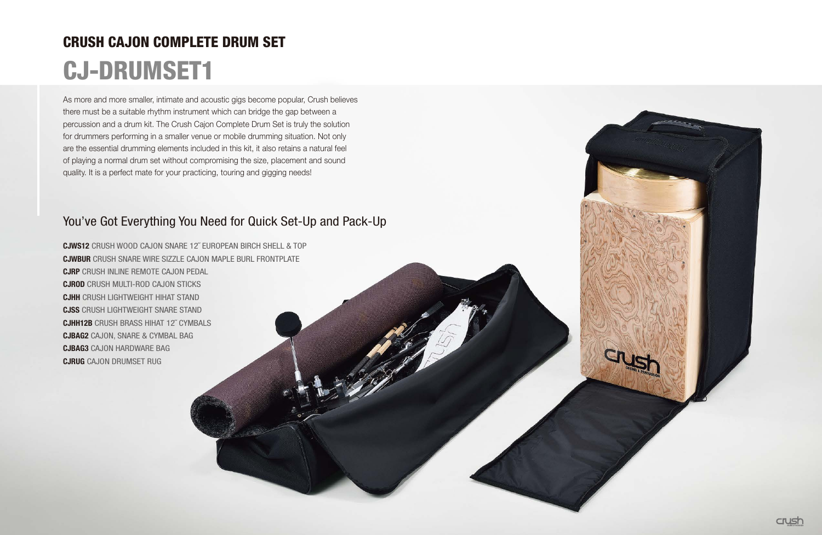### CRUSH CAJON COMPLETE DRUM SET CJ-DRUMSET1

### You've Got Everything You Need for Quick Set-Up and Pack-Up

As more and more smaller, intimate and acoustic gigs become popular, Crush believes there must be a suitable rhythm instrument which can bridge the gap between a percussion and a drum kit. The Crush Cajon Complete Drum Set is truly the solution for drummers performing in a smaller venue or mobile drumming situation. Not only are the essential drumming elements included in this kit, it also retains a natural feel of playing a normal drum set without compromising the size, placement and sound quality. It is a perfect mate for your practicing, touring and gigging needs!

**CJWS12** CRUSH WOOD CAJON SNARE 12˝ EUROPEAN BIRCH SHELL & TOP **CJWBUR** CRUSH SNARE WIRE SIZZLE CAJON MAPLE BURL FRONTPLATE **CJRP** CRUSH INLINE REMOTE CAJON PEDAL **CJROD** CRUSH MULTI-ROD CAJON STICKS **CJHH** CRUSH LIGHTWEIGHT HIHAT STAND **CJSS** CRUSH LIGHTWEIGHT SNARE STAND **CJHH12B** CRUSH BRASS HIHAT 12˝ CYMBALS **CJBAG2** CAJON, SNARE & CYMBAL BAG **CJBAG3** CAJON HARDWARE BAG **CJRUG** CAJON DRUMSET RUG

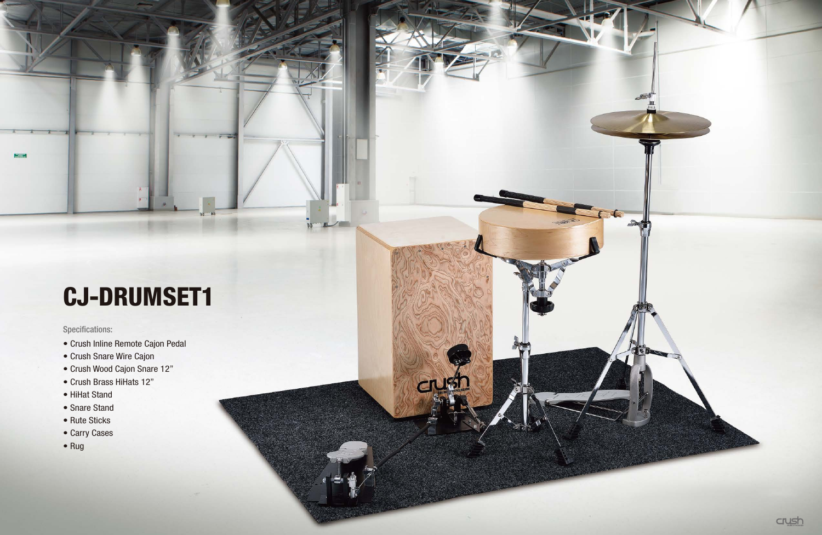### Specifications:

Ed

# CJ-DRUMSET1

◡

 $\bar{r}$  and

Crust

- Crush Inline Remote Cajon Pedal
- Crush Snare Wire Cajon
- Crush Wood Cajon Snare 12"
- Crush Brass HiHats 12"
- HiHat Stand
- Snare Stand
- Rute Sticks
- Carry Cases
- Rug